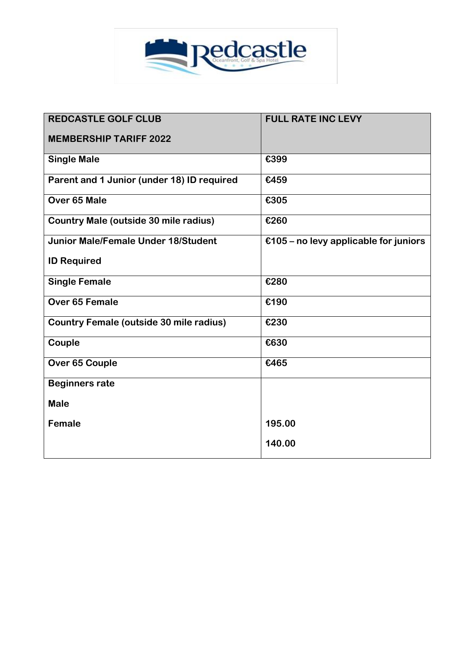

| <b>REDCASTLE GOLF CLUB</b>                     | <b>FULL RATE INC LEVY</b>             |
|------------------------------------------------|---------------------------------------|
| <b>MEMBERSHIP TARIFF 2022</b>                  |                                       |
| <b>Single Male</b>                             | €399                                  |
| Parent and 1 Junior (under 18) ID required     | €459                                  |
| Over 65 Male                                   | €305                                  |
| Country Male (outside 30 mile radius)          | €260                                  |
| <b>Junior Male/Female Under 18/Student</b>     | €105 – no levy applicable for juniors |
| <b>ID Required</b>                             |                                       |
| <b>Single Female</b>                           | €280                                  |
| Over 65 Female                                 | €190                                  |
| <b>Country Female (outside 30 mile radius)</b> | €230                                  |
| Couple                                         | €630                                  |
| Over 65 Couple                                 | €465                                  |
| <b>Beginners rate</b>                          |                                       |
| <b>Male</b>                                    |                                       |
| <b>Female</b>                                  | 195.00                                |
|                                                | 140.00                                |